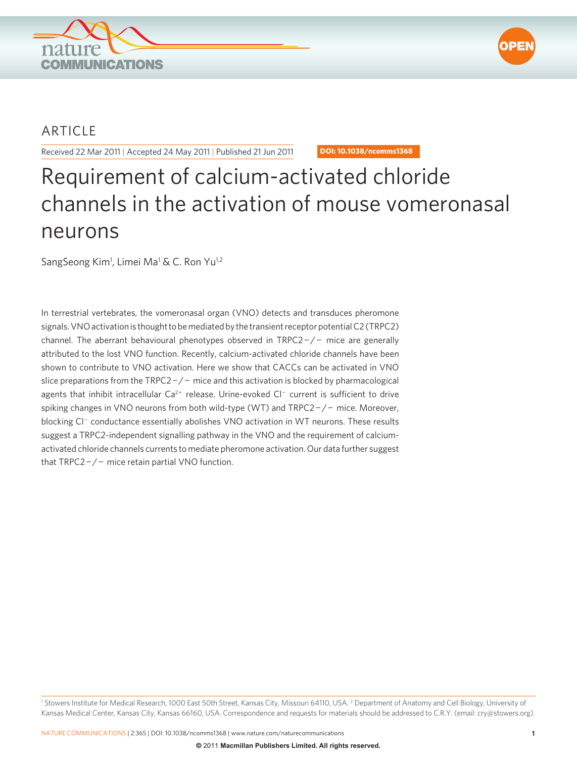



## ARTICLE

Received 22 Mar 2011 | Accepted 24 May 2011 | Published 21 Jun 2011 **DOI: 10.1038/ncomms1368**

# Requirement of calcium-activated chloride channels in the activation of mouse vomeronasal neurons

SangSeong Kim<sup>1</sup>, Limei Ma<sup>1</sup> & C. Ron Yu<sup>1,2</sup>

In terrestrial vertebrates, the vomeronasal organ (VNO) detects and transduces pheromone signals. VNO activation is thought to be mediated by the transient receptor potential C2 (TRPC2) channel. The aberrant behavioural phenotypes observed in TRPC2−/− mice are generally attributed to the lost VNO function. Recently, calcium-activated chloride channels have been shown to contribute to VNO activation. Here we show that CACCs can be activated in VNO slice preparations from the TRPC2−/− mice and this activation is blocked by pharmacological agents that inhibit intracellular Ca<sup>2+</sup> release. Urine-evoked Cl<sup>−</sup> current is sufficient to drive spiking changes in VNO neurons from both wild-type (WT) and TRPC2−/− mice. Moreover, blocking Cl− conductance essentially abolishes VNO activation in WT neurons. These results suggest a TRPC2-independent signalling pathway in the VNO and the requirement of calciumactivated chloride channels currents to mediate pheromone activation. Our data further suggest that TRPC2−/− mice retain partial VNO function.

<sup>1</sup> Stowers Institute for Medical Research, 1000 East 50th Street, Kansas City, Missouri 64110, USA. <sup>2</sup> Department of Anatomy and Cell Biology, University of Kansas Medical Center, Kansas City, Kansas 66160, USA. Correspondence and requests for materials should be addressed to C.R.Y. (email: cry@stowers.org).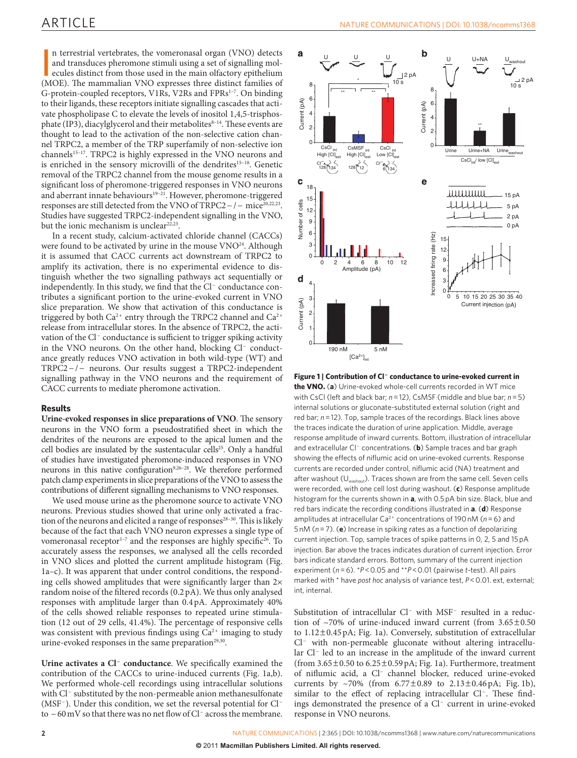## ARTICLE

n terrestrial vertebrates, the vomeronasal organ (VNO) detects and transduces pheromone stimuli using a set of signalling molecules distinct from those used in the main offactory epithelium (MOE). The mammalian VNO express n terrestrial vertebrates, the vomeronasal organ (VNO) detects and transduces pheromone stimuli using a set of signalling molecules distinct from those used in the main olfactory epithelium G-protein-coupled receptors, V1Rs, V2Rs and FPRs<sup>1-7</sup>. On binding to their ligands, these receptors initiate signalling cascades that activate phospholipase C to elevate the levels of inositol 1,4,5-trisphosphate (IP3), diacylglycerol and their metabolites<sup>8-14</sup>. These events are thought to lead to the activation of the non-selective cation channel TRPC2, a member of the TRP superfamily of non-selective ion channels15–17 . TRPC2 is highly expressed in the VNO neurons and is enriched in the sensory microvilli of the dendrites<sup>15-18</sup>. Genetic removal of the TRPC2 channel from the mouse genome results in a significant loss of pheromone-triggered responses in VNO neurons and aberrant innate behaviours<sup>19–21</sup>. However, pheromone-triggered responses are still detected from the VNO of TRPC2 – / – mice<sup>20,22,23</sup>. Studies have suggested TRPC2-independent signalling in the VNO, but the ionic mechanism is unclear $22,23$ .

In a recent study, calcium-activated chloride channel (CACCs) were found to be activated by urine in the mouse VNO<sup>24</sup>. Although it is assumed that CACC currents act downstream of TRPC2 to amplify its activation, there is no experimental evidence to distinguish whether the two signalling pathways act sequentially or independently. In this study, we find that the Cl− conductance contributes a significant portion to the urine-evoked current in VNO slice preparation. We show that activation of this conductance is triggered by both  $Ca^{2+}$  entry through the TRPC2 channel and  $Ca^{2+}$ release from intracellular stores. In the absence of TRPC2, the activation of the Cl− conductance is sufficient to trigger spiking activity in the VNO neurons. On the other hand, blocking Cl− conductance greatly reduces VNO activation in both wild-type (WT) and TRPC2−/− neurons. Our results suggest a TRPC2-independent signalling pathway in the VNO neurons and the requirement of CACC currents to mediate pheromone activation.

#### **Results**

**Urine-evoked responses in slice preparations of VNO**. The sensory neurons in the VNO form a pseudostratified sheet in which the dendrites of the neurons are exposed to the apical lumen and the cell bodies are insulated by the sustentacular cells<sup>25</sup>. Only a handful of studies have investigated pheromone-induced responses in VNO neurons in this native configuration<sup>9,26-28</sup>. We therefore performed patch clamp experiments in slice preparations of the VNO to assess the contributions of different signalling mechanisms to VNO responses.

We used mouse urine as the pheromone source to activate VNO neurons. Previous studies showed that urine only activated a fraction of the neurons and elicited a range of responses<sup>28-30</sup>. This is likely because of the fact that each VNO neuron expresses a single type of vomeronasal receptor $1-7$  and the responses are highly specific<sup>26</sup>. To accurately assess the responses, we analysed all the cells recorded in VNO slices and plotted the current amplitude histogram ([Fig.](#page-1-0)  [1a–c\)](#page-1-0). It was apparent that under control conditions, the responding cells showed amplitudes that were significantly larger than  $2\times$ random noise of the filtered records (0.2pA). We thus only analysed responses with amplitude larger than 0.4pA. Approximately 40% of the cells showed reliable responses to repeated urine stimulation (12 out of 29 cells, 41.4%). The percentage of responsive cells was consistent with previous findings using  $Ca^{2+}$  imaging to study urine-evoked responses in the same preparation<sup>[29,30](#page-5-7)</sup>.

**Urine activates a Cl− conductance**. We specifically examined the contribution of the CACCs to urine-induced currents ([Fig. 1a,b](#page-1-0)). We performed whole-cell recordings using intracellular solutions with Cl− substituted by the non-permeable anion methanesulfonate (MSF−). Under this condition, we set the reversal potential for Cl− to −60mV so that there was no net flow of Cl− across the membrane.



<span id="page-1-0"></span>**Figure 1 | Contribution of Cl− conductance to urine-evoked current in the VNO.** (**a**) Urine-evoked whole-cell currents recorded in WT mice with CsCl (left and black bar; *n*=12), CsMSF (middle and blue bar; *n*=5) internal solutions or gluconate-substituted external solution (right and red bar; *n*=12). Top, sample traces of the recordings. Black lines above the traces indicate the duration of urine application. Middle, average response amplitude of inward currents. Bottom, illustration of intracellular and extracellular Cl− concentrations. (**b**) Sample traces and bar graph showing the effects of niflumic acid on urine-evoked currents. Response currents are recorded under control, niflumic acid (NA) treatment and after washout ( $U_{\text{washout}}$ ). Traces shown are from the same cell. Seven cells were recorded, with one cell lost during washout. (**c**) Response amplitude histogram for the currents shown in **a**, with 0.5pA bin size. Black, blue and red bars indicate the recording conditions illustrated in **a**. (**d**) Response amplitudes at intracellular Ca<sup>2+</sup> concentrations of 190 nM (n = 6) and 5nM (*n*=7). (**e**) Increase in spiking rates as a function of depolarizing current injection. Top, sample traces of spike patterns in 0, 2, 5 and 15pA injection. Bar above the traces indicates duration of current injection. Error bars indicate standard errors. Bottom, summary of the current injection experiment (*n*=6). \**P*<0.05 and \*\**P*<0.01 (pairwise *t*-test). All pairs marked with \* have *post hoc* analysis of variance test, *P*<0.01. ext, external; int, internal.

Substitution of intracellular Cl− with MSF− resulted in a reduction of  $~5$ 70% of urine-induced inward current (from  $3.65 \pm 0.50$ to 1.12±0.45pA; [Fig. 1a](#page-1-0)). Conversely, substitution of extracellular Cl− with non-permeable gluconate without altering intracellular Cl− led to an increase in the amplitude of the inward current (from  $3.65\pm0.50$  to  $6.25\pm0.59$  pA; [Fig. 1a\)](#page-1-0). Furthermore, treatment of niflumic acid, a Cl− channel blocker, reduced urine-evoked currents by ~70% (from  $6.77 \pm 0.89$  to  $2.13 \pm 0.46$  pA; [Fig.](#page-1-0) 1b), similar to the effect of replacing intracellular Cl−. These findings demonstrated the presence of a Cl− current in urine-evoked response in VNO neurons.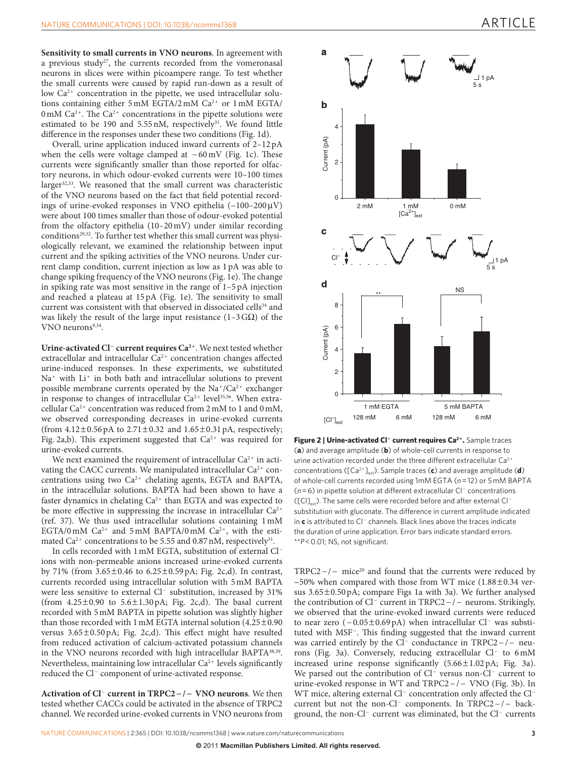**Sensitivity to small currents in VNO neurons**. In agreement with a previous study<sup>[27](#page-5-8)</sup>, the currents recorded from the vomeronasal neurons in slices were within picoampere range. To test whether the small currents were caused by rapid run-down as a result of low  $Ca^{2+}$  concentration in the pipette, we used intracellular solutions containing either 5 mM EGTA/2 mM Ca<sup>2+</sup> or 1 mM EGTA/  $0 \text{ mM } Ca^{2+}$ . The  $Ca^{2+}$  concentrations in the pipette solutions were estimated to be 190 and  $5.55 \text{ nM}$ , respectively<sup>[31](#page-5-9)</sup>. We found little difference in the responses under these two conditions ([Fig. 1d\)](#page-1-0).

Overall, urine application induced inward currents of 2–12pA when the cells were voltage clamped at −60mV ([Fig. 1c\)](#page-1-0). These currents were significantly smaller than those reported for olfactory neurons, in which odour-evoked currents were 10–100 times larger<sup>32,33</sup>. We reasoned that the small current was characteristic of the VNO neurons based on the fact that field potential recordings of urine-evoked responses in VNO epithelia (~100–200µV) were about 100 times smaller than those of odour-evoked potential from the olfactory epithelia (10–20mV) under similar recording conditions<sup>29,32</sup>. To further test whether this small current was physiologically relevant, we examined the relationship between input current and the spiking activities of the VNO neurons. Under current clamp condition, current injection as low as 1pA was able to change spiking frequency of the VNO neurons ([Fig. 1e\)](#page-1-0). The change in spiking rate was most sensitive in the range of 1–5 pA injection and reached a plateau at 15 pA [\(Fig. 1e\)](#page-1-0). The sensitivity to small current was consistent with that observed in dissociated cells $34$  and was likely the result of the large input resistance  $(1-3)$ G $\Omega$ ) of the VNO neurons<sup>9,34</sup>.

**Urine-activated Cl− current requires Ca2+**. We next tested whether extracellular and intracellular Ca<sup>2+</sup> concentration changes affected urine-induced responses. In these experiments, we substituted Na<sup>+</sup> with Li<sup>+</sup> in both bath and intracellular solutions to prevent possible membrane currents operated by the  $Na^+/Ca^{2+}$  exchanger in response to changes of intracellular  $Ca^{2+}$  level<sup>35,36</sup>. When extracellular  $Ca^{2+}$  concentration was reduced from 2 mM to 1 and 0 mM, we observed corresponding decreases in urine-evoked currents (from  $4.12\pm0.56$  pA to  $2.71\pm0.32$  and  $1.65\pm0.31$  pA, respectively; Fig. [2a,b\)](#page-2-0). This experiment suggested that  $Ca^{2+}$  was required for urine-evoked currents.

We next examined the requirement of intracellular  $Ca^{2+}$  in activating the CACC currents. We manipulated intracellular  $Ca^{2+}$  concentrations using two Ca<sup>2+</sup> chelating agents, EGTA and BAPTA, in the intracellular solutions. BAPTA had been shown to have a faster dynamics in chelating Ca<sup>2+</sup> than EGTA and was expected to be more effective in suppressing the increase in intracellular Ca<sup>2+</sup> (ref. [37](#page-6-0)). We thus used intracellular solutions containing 1mM EGTA/0 mM  $Ca^{2+}$  and 5 mM BAPTA/0 mM  $Ca^{2+}$ , with the estimated  $Ca^{2+}$  concentrations to be 5.55 and 0.87 nM, respectively<sup>[31](#page-5-9)</sup>.

In cells recorded with 1mM EGTA, substitution of external Cl− ions with non-permeable anions increased urine-evoked currents by 71% (from 3.65±0.46 to 6.25±0.59pA; [Fig. 2c,d\)](#page-2-0). In contrast, currents recorded using intracellular solution with 5mM BAPTA were less sensitive to external Cl− substitution, increased by 31% (from  $4.25\pm0.90$  to  $5.6\pm1.30$  pA; [Fig. 2c,d\)](#page-2-0). The basal current recorded with 5mM BAPTA in pipette solution was slightly higher than those recorded with 1 mM EGTA internal solution  $(4.25\pm0.90)$ versus 3.65±0.50pA; [Fig. 2c,d\)](#page-2-0). This effect might have resulted from reduced activation of calcium-activated potassium channels in the VNO neurons recorded with high intracellular BAPTA[38,39](#page-6-1) . Nevertheless, maintaining low intracellular  $Ca^{2+}$  levels significantly reduced the Cl− component of urine-activated response.

**Activation of Cl**<sup>−</sup> **current in TRPC2−/− VNO neurons**. We then tested whether CACCs could be activated in the absence of TRPC2 channel. We recorded urine-evoked currents in VNO neurons from



<span id="page-2-0"></span>**Figure 2 | Urine-activated Cl− current requires Ca2+.** Sample traces (**a**) and average amplitude (**b**) of whole-cell currents in response to urine activation recorded under the three different extracellular Ca<sup>2+</sup> concentrations ([Ca<sup>2+</sup>]<sub>ext</sub>). Sample traces (c) and average amplitude (d) of whole-cell currents recorded using 1mM EGTA (*n*=12) or 5mM BAPTA (*n*=6) in pipette solution at different extracellular Cl− concentrations ([Cl]<sub>ext</sub>). The same cells were recorded before and after external Cl<sup>−</sup> substitution with gluconate. The difference in current amplitude indicated in **c** is attributed to Cl− channels. Black lines above the traces indicate the duration of urine application. Error bars indicate standard errors. \*\**P*<0.01; NS, not significant.

TRPC2−/− mice<sup>20</sup> and found that the currents were reduced by  $\sim$  50% when compared with those from WT mice (1.88 $\pm$ 0.34 versus 3.65±0.50pA; compare [Figs 1a with 3a\)](#page-1-0). We further analysed the contribution of Cl− current in TRPC2−/− neurons. Strikingly, we observed that the urine-evoked inward currents were reduced to near zero (−0.05±0.69pA) when intracellular Cl− was substituted with MSF−. This finding suggested that the inward current was carried entirely by the Cl− conductance in TRPC2−/− neurons ([Fig. 3a](#page-3-0)). Conversely, reducing extracellular Cl− to 6mM increased urine response significantly (5.66±1.02pA; [Fig. 3a](#page-3-0)). We parsed out the contribution of Cl− versus non-Cl− current to urine-evoked response in WT and TRPC2−/− VNO ([Fig. 3b\)](#page-3-0). In WT mice, altering external Cl− concentration only affected the Cl− current but not the non-Cl− components. In TRPC2−/− background, the non-Cl− current was eliminated, but the Cl− currents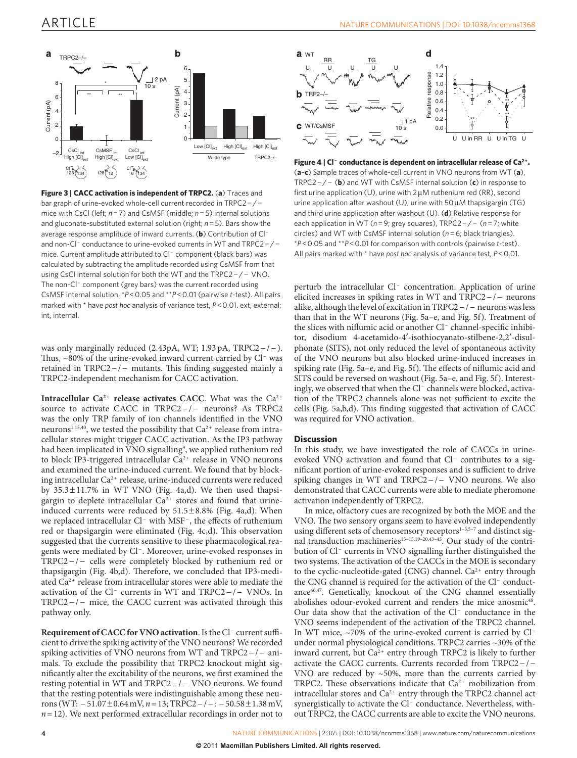

<span id="page-3-0"></span>**Figure 3 | CACC activation is independent of TRPC2.** (**a**) Traces and bar graph of urine-evoked whole-cell current recorded in TRPC2−/− mice with CsCl (left; *n*=7) and CsMSF (middle; *n*=5) internal solutions and gluconate-substituted external solution (right; *n*=5). Bars show the average response amplitude of inward currents. (**b**) Contribution of Cl− and non-Cl− conductance to urine-evoked currents in WT and TRPC2−/− mice. Current amplitude attributed to Cl− component (black bars) was calculated by subtracting the amplitude recorded using CsMSF from that using CsCl internal solution for both the WT and the TRPC2−/− VNO. The non-Cl− component (grey bars) was the current recorded using CsMSF internal solution. \**P*<0.05 and \*\**P*<0.01 (pairwise *t*-test). All pairs marked with \* have *post hoc* analysis of variance test, *P*<0.01. ext, external; int, internal.

was only marginally reduced (2.43pA, WT; 1.93pA, TRPC2−/−). Thus, ~80% of the urine-evoked inward current carried by Cl− was retained in TRPC2−/− mutants. This finding suggested mainly a TRPC2-independent mechanism for CACC activation.

**Intracellular Ca<sup>2+</sup> release activates CACC**. What was the Ca<sup>2+</sup> source to activate CACC in TRPC2−/− neurons? As TRPC2 was the only TRP family of ion channels identified in the VNO neurons $^{1,15,40}$ , we tested the possibility that Ca<sup>2+</sup> release from intracellular stores might trigger CACC activation. As the IP3 pathway had been implicated in VNO signalling<sup>9</sup>, we applied ruthenium red to block IP3-triggered intracellular Ca<sup>2+</sup> release in VNO neurons and examined the urine-induced current. We found that by blocking intracellular Ca2+ release, urine-induced currents were reduced by  $35.3 \pm 11.7\%$  in WT VNO ([Fig. 4a,d](#page-3-1)). We then used thapsigargin to deplete intracellular  $Ca^{2+}$  stores and found that urineinduced currents were reduced by  $51.5 \pm 8.8\%$  ([Fig. 4a,d\)](#page-3-1). When we replaced intracellular Cl− with MSF−, the effects of ruthenium red or thapsigargin were eliminated ([Fig. 4c,d](#page-3-1)). This observation suggested that the currents sensitive to these pharmacological reagents were mediated by Cl−. Moreover, urine-evoked responses in TRPC2−/− cells were completely blocked by ruthenium red or thapsigargin ([Fig. 4b,d](#page-3-1)). Therefore, we concluded that IP3-mediated Ca2+ release from intracellular stores were able to mediate the activation of the Cl− currents in WT and TRPC2−/− VNOs. In TRPC2−/− mice, the CACC current was activated through this pathway only.

**Requirement of CACC for VNO activation**. Is the Cl− current sufficient to drive the spiking activity of the VNO neurons? We recorded spiking activities of VNO neurons from WT and TRPC2−/− animals. To exclude the possibility that TRPC2 knockout might significantly alter the excitability of the neurons, we first examined the resting potential in WT and TRPC2−/− VNO neurons. We found that the resting potentials were indistinguishable among these neurons (WT: −51.07±0.64mV, *n*=13; TRPC2−/−: −50.58±1.38mV,  $n=12$ ). We next performed extracellular recordings in order not to



<span id="page-3-1"></span>**Figure 4 | Cl− conductance is dependent on intracellular release of Ca2+.** (**a**–**c**) Sample traces of whole-cell current in VNO neurons from WT (**a**), TRPC2−/− (**b**) and WT with CsMSF internal solution (**c**) in response to first urine application (U), urine with 2µM ruthenium red (RR), second urine application after washout (U), urine with 50µM thapsigargin (TG) and third urine application after washout (U). (**d**) Relative response for each application in WT (*n*=9; grey squares), TRPC2−/− (*n*=7; white circles) and WT with CsMSF internal solution (*n*=6; black triangles). \**P*<0.05 and \*\**P*<0.01 for comparison with controls (pairwise *t*-test). All pairs marked with \* have *post hoc* analysis of variance test, *P*<0.01.

perturb the intracellular Cl− concentration. Application of urine elicited increases in spiking rates in WT and TRPC2−/− neurons alike, although the level of excitation in TRPC2−/− neurons was less than that in the WT neurons ([Fig. 5a–e](#page-4-0), and [Fig. 5f\)](#page-4-0). Treatment of the slices with niflumic acid or another Cl− channel-specific inhibitor, disodium 4-acetamido-4′-isothiocyanato-stilbene-2,2′-disulphonate (SITS), not only reduced the level of spontaneous activity of the VNO neurons but also blocked urine-induced increases in spiking rate [\(Fig. 5a–e](#page-4-0), and [Fig. 5f](#page-4-0)). The effects of niflumic acid and SITS could be reversed on washout ([Fig. 5a–e,](#page-4-0) and [Fig. 5f](#page-4-0)). Interestingly, we observed that when the Cl− channels were blocked, activation of the TRPC2 channels alone was not sufficient to excite the cells ([Fig. 5a,b,d\)](#page-4-0). This finding suggested that activation of CACC was required for VNO activation.

#### **Discussion**

In this study, we have investigated the role of CACCs in urineevoked VNO activation and found that Cl− contributes to a significant portion of urine-evoked responses and is sufficient to drive spiking changes in WT and TRPC2−/− VNO neurons. We also demonstrated that CACC currents were able to mediate pheromone activation independently of TRPC2.

In mice, olfactory cues are recognized by both the MOE and the VNO. The two sensory organs seem to have evolved independently using different sets of chemosensory receptors<sup>1-3,5-7</sup> and distinct signal transduction machineries<sup>13-15,19-20,43-45</sup>. Our study of the contribution of Cl− currents in VNO signalling further distinguished the two systems. The activation of the CACCs in the MOE is secondary to the cyclic-nucleotide-gated (CNG) channel.  $Ca^{2+}$  entry through the CNG channel is required for the activation of the Cl− conduct-ance<sup>[46,47](#page-6-2)</sup>. Genetically, knockout of the CNG channel essentially abolishes odour-evoked current and renders the mice anosmic<sup>48</sup>. Our data show that the activation of the Cl− conductance in the VNO seems independent of the activation of the TRPC2 channel. In WT mice, ~70% of the urine-evoked current is carried by Cl− under normal physiological conditions. TRPC2 carries ~30% of the inward current, but  $Ca^{2+}$  entry through TRPC2 is likely to further activate the CACC currents. Currents recorded from TRPC2−/− VNO are reduced by  $~50\%$ , more than the currents carried by TRPC2. These observations indicate that Ca<sup>2+</sup> mobilization from intracellular stores and  $Ca^{2+}$  entry through the TRPC2 channel act synergistically to activate the Cl− conductance. Nevertheless, without TRPC2, the CACC currents are able to excite the VNO neurons.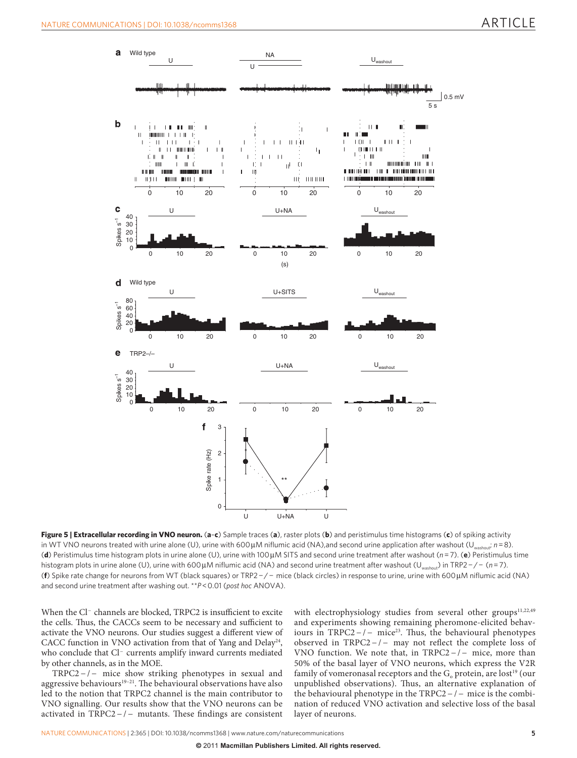### ARTICLE



<span id="page-4-0"></span>**Figure 5 | Extracellular recording in VNO neuron.** (**a**–**c**) Sample traces (**a**), raster plots (**b**) and peristimulus time histograms (**c**) of spiking activity in WT VNO neurons treated with urine alone (U), urine with 600µM niflumic acid (NA),and second urine application after washout (Uwashout; *n*=8). (**d**) Peristimulus time histogram plots in urine alone (U), urine with 100µM SITS and second urine treatment after washout (*n*=7). (**e**) Peristimulus time histogram plots in urine alone (U), urine with 600µM niflumic acid (NA) and second urine treatment after washout (Uwashout) in TRP2−/− (*n*=7). (**f**) Spike rate change for neurons from WT (black squares) or TRP2−/− mice (black circles) in response to urine, urine with 600µM niflumic acid (NA) and second urine treatment after washing out. \*\**P*<0.01 (*post hoc* ANOVA).

When the Cl− channels are blocked, TRPC2 is insufficient to excite the cells. Thus, the CACCs seem to be necessary and sufficient to activate the VNO neurons. Our studies suggest a different view of CACC function in VNO activation from that of Yang and Delay<sup>24</sup>, who conclude that Cl− currents amplify inward currents mediated by other channels, as in the MOE.

TRPC2 − / − mice show striking phenotypes in sexual and aggressive behaviours<sup>19–21</sup>. The behavioural observations have also led to the notion that TRPC2 channel is the main contributor to VNO signalling. Our results show that the VNO neurons can be activated in TRPC2 − / − mutants. These findings are consistent

with electrophysiology studies from several other groups $11,22,49$ and experiments showing remaining pheromone-elicited behav-iours in TRPC2 – / − mice<sup>[23](#page-5-14)</sup>. Thus, the behavioural phenotypes observed in TRPC2 − / − may not reflect the complete loss of VNO function. We note that, in TRPC2 − / − mice, more than 50% of the basal layer of VNO neurons, which express the V2R family of vomeronasal receptors and the  $G_0$  protein, are lost<sup>19</sup> (our unpublished observations). Thus, an alternative explanation of the behavioural phenotype in the TRPC2 − / − mice is the combination of reduced VNO activation and selective loss of the basal layer of neurons.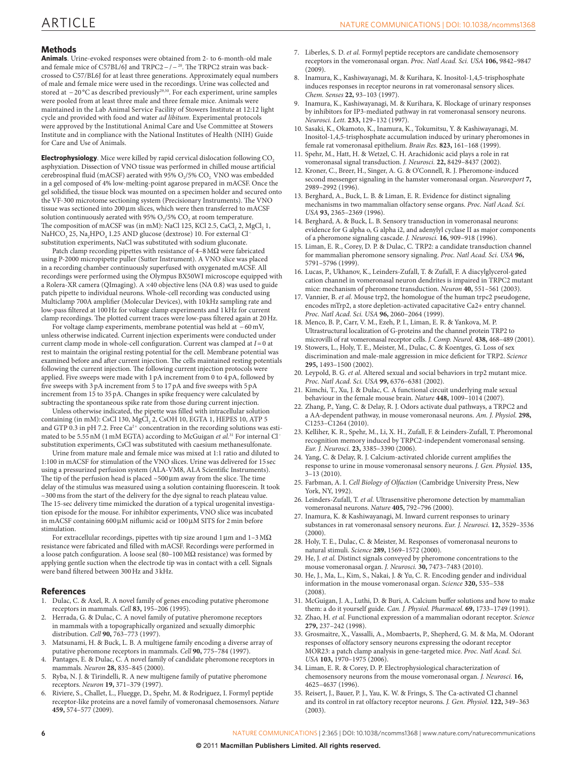#### **Methods**

**Animals**. Urine-evoked responses were obtained from 2- to 6-month-old male and female mice of C57BL/6J and TRPC2−/−20. The TRPC2 strain was backcrossed to C57/BL6J for at least three generations. Approximately equal numbers of male and female mice were used in the recordings. Urine was collected and stored at −20 °C as described previously<sup>[29,30](#page-5-7)</sup>. For each experiment, urine samples were pooled from at least three male and three female mice. Animals were maintained in the Lab Animal Service Facility of Stowers Institute at 12:12 light cycle and provided with food and water *ad libitum*. Experimental protocols were approved by the Institutional Animal Care and Use Committee at Stowers Institute and in compliance with the National Institutes of Health (NIH) Guide for Care and Use of Animals.

**Electrophysiology**. Mice were killed by rapid cervical dislocation following CO<sub>2</sub> asphyxiation. Dissection of VNO tissue was performed in chilled mouse artificial cerebrospinal fluid (mACSF) aerated with 95% O<sub>2</sub>/5% CO<sub>2</sub>. VNO was embedded in a gel composed of 4% low-melting-point agarose prepared in mACSF. Once the gel solidified, the tissue block was mounted on a specimen holder and secured onto the VF-300 microtome sectioning system (Precisionary Instruments). The VNO tissue was sectioned into 200µm slices, which were then transferred to mACSF solution continuously aerated with 95%  $O<sub>2</sub>/5$ %  $CO<sub>2</sub>$  at room temperature. The composition of mACSF was (in mM): NaCl 125, KCl 2.5, CaCl, 2, MgCl, 1, NaHCO<sub>3</sub> 25, Na<sub>2</sub>HPO<sub>4</sub> 1.25 AND glucose (dextrose) 10. For external Cl<sup>−</sup> substitution experiments, NaCl was substituted with sodium gluconate.

Patch clamp recording pipettes with resistance of 4–8 M $\Omega$  were fabricated using P-2000 micropipette puller (Sutter Instrument). A VNO slice was placed in a recording chamber continuously superfused with oxygenated mACSF. All recordings were performed using the Olympus BX50WI microscope equipped with a Rolera-XR camera (QImaging). A ×40 objective lens (NA 0.8) was used to guide patch pipette to individual neurons. Whole-cell recording was conducted using Multiclamp 700A amplifier (Molecular Devices), with 10 kHz sampling rate and low-pass filtered at 100Hz for voltage clamp experiments and 1 kHz for current clamp recordings. The plotted current traces were low-pass filtered again at 20Hz.

For voltage clamp experiments, membrane potential was held at −60mV, unless otherwise indicated. Current injection experiments were conducted under current clamp mode in whole-cell configuration. Current was clamped at *I*=0 at rest to maintain the original resting potential for the cell. Membrane potential was examined before and after current injection. The cells maintained resting potentials following the current injection. The following current injection protocols were applied. Five sweeps were made with 1pA increment from 0 to 4pA, followed by five sweeps with 3pA increment from 5 to 17pA and five sweeps with 5pA increment from 15 to 35pA. Changes in spike frequency were calculated by subtracting the spontaneous spike rate from those during current injection.

Unless otherwise indicated, the pipette was filled with intracellular solution containing (in mM): CsCl 130, MgCl<sub>2</sub> 2, CsOH 10, EGTA 1, HEPES 10, ATP 5 and GTP 0.3 in pH 7.2. Free Ca<sup>2+</sup> concentration in the recording solutions was estimated to be 5.55nM (1mM EGTA) according to McGuigan *et al.*[31](#page-5-9) For internal Cl− substitution experiments, CsCl was substituted with caesium methanesulfonate.

Urine from mature male and female mice was mixed at 1:1 ratio and diluted to 1:100 in mACSF for stimulation of the VNO slices. Urine was delivered for 15 sec using a pressurized perfusion system (ALA-VM8, ALA Scientific Instruments). The tip of the perfusion head is placed  $\sim$  500  $\mu$ m away from the slice. The time delay of the stimulus was measured using a solution containing fluorescein. It took  $\sim$ 300 ms from the start of the delivery for the dye signal to reach plateau value. The 15-sec delivery time mimicked the duration of a typical urogenital investigation episode for the mouse. For inhibitor experiments, VNO slice was incubated in mACSF containing 600µM niflumic acid or 100µM SITS for 2min before stimulation.

For extracellular recordings, pipettes with tip size around 1  $\mu$ m and 1–3 M $\Omega$ resistance were fabricated and filled with mACSF. Recordings were performed in a loose patch configuration. A loose seal (80–100MΩ resistance) was formed by applying gentle suction when the electrode tip was in contact with a cell. Signals were band filtered between 300Hz and 3 kHz.

#### **References**

- <span id="page-5-0"></span>1. Dulac, C. & Axel, R. A novel family of genes encoding putative pheromone receptors in mammals. *Cell* **83,** 195–206 (1995).
- 2. Herrada, G. & Dulac, C. A novel family of putative pheromone receptors in mammals with a topographically organized and sexually dimorphic distribution. *Cell* **90,** 763–773 (1997).
- 3. Matsunami, H. & Buck, L. B. A multigene family encoding a diverse array of putative pheromone receptors in mammals. *Cell* **90,** 775–784 (1997).
- 4. Pantages, E. & Dulac, C. A novel family of candidate pheromone receptors in mammals. *Neuron* **28,** 835–845 (2000).
- Ryba, N. J. & Tirindelli, R. A new multigene family of putative pheromone receptors. *Neuron* **19,** 371–379 (1997).
- 6. Riviere, S., Challet, L., Fluegge, D., Spehr, M. & Rodriguez, I. Formyl peptide receptor-like proteins are a novel family of vomeronasal chemosensors. *Nature* **459,** 574–577 (2009).
- 7. Liberles, S. D. *et al.* Formyl peptide receptors are candidate chemosensory receptors in the vomeronasal organ. *Proc. Natl Acad. Sci. USA* **106,** 9842–9847  $(2009)$
- <span id="page-5-1"></span>8. Inamura, K., Kashiwayanagi, M. & Kurihara, K. Inositol-1,4,5-trisphosphate induces responses in receptor neurons in rat vomeronasal sensory slices. *Chem. Senses* **22,** 93–103 (1997).
- <span id="page-5-4"></span>9. Inamura, K., Kashiwayanagi, M. & Kurihara, K. Blockage of urinary responses by inhibitors for IP3-mediated pathway in rat vomeronasal sensory neurons. *Neurosci. Lett.* **233,** 129–132 (1997).
- 10. Sasaki, K., Okamoto, K., Inamura, K., Tokumitsu, Y. & Kashiwayanagi, M. Inositol-1,4,5-trisphosphate accumulation induced by urinary pheromones in female rat vomeronasal epithelium. *Brain Res.* **823,** 161–168 (1999).
- <span id="page-5-13"></span>11. Spehr, M., Hatt, H. & Wetzel, C. H. Arachidonic acid plays a role in rat vomeronasal signal transduction. *J. Neurosci.* **22,** 8429–8437 (2002).
- 12. Kroner, C., Breer, H., Singer, A. G. & O'Connell, R. J. Pheromone-induced second messenger signaling in the hamster vomeronasal organ. *Neuroreport* **7,** 2989–2992 (1996).
- 13. Berghard, A., Buck, L. B. & Liman, E. R. Evidence for distinct signaling mechanisms in two mammalian olfactory sense organs. *Proc. Natl Acad. Sci. USA* **93,** 2365–2369 (1996).
- 14. Berghard, A. & Buck, L. B. Sensory transduction in vomeronasal neurons: evidence for G alpha o, G alpha i2, and adenylyl cyclase II as major components of a pheromone signaling cascade. *J. Neurosci.* **16,** 909–918 (1996).
- 15. Liman, E. R., Corey, D. P. & Dulac, C. TRP2: a candidate transduction channel for mammalian pheromone sensory signaling. *Proc. Natl Acad. Sci. USA* **96,** 5791–5796 (1999).
- 16. Lucas, P., Ukhanov, K., Leinders-Zufall, T. & Zufall, F. A diacylglycerol-gated cation channel in vomeronasal neuron dendrites is impaired in TRPC2 mutant mice: mechanism of pheromone transduction. *Neuron* **40,** 551–561 (2003).
- 17. Vannier, B. *et al.* Mouse trp2, the homologue of the human trpc2 pseudogene, encodes mTrp2, a store depletion-activated capacitative Ca2+ entry channel. *Proc. Natl Acad. Sci. USA* **96,** 2060–2064 (1999).
- 18. Menco, B. P., Carr, V. M., Ezeh, P. I., Liman, E. R. & Yankova, M. P. Ultrastructural localization of G-proteins and the channel protein TRP2 to microvilli of rat vomeronasal receptor cells. *J. Comp. Neurol.* **438,** 468–489 (2001).
- 19. Stowers, L., Holy, T. E., Meister, M., Dulac, C. & Koentges, G. Loss of sex discrimination and male-male aggression in mice deficient for TRP2. *Science* **295,** 1493–1500 (2002).
- 20. Leypold, B. G. *et al.* Altered sexual and social behaviors in trp2 mutant mice. *Proc. Natl Acad. Sci. USA* **99,** 6376–6381 (2002).
- 21. Kimchi, T., Xu, J. & Dulac, C. A functional circuit underlying male sexual behaviour in the female mouse brain. *Nature* **448,** 1009–1014 (2007).
- <span id="page-5-2"></span>22. Zhang, P., Yang, C. & Delay, R. J. Odors activate dual pathways, a TRPC2 and a AA-dependent pathway, in mouse vomeronasal neurons. *Am. J. Physiol.* **298,** C1253–C1264 (2010).
- <span id="page-5-14"></span>23. Kelliher, K. R., Spehr, M., Li, X. H., Zufall, F. & Leinders-Zufall, T. Pheromonal recognition memory induced by TRPC2-independent vomeronasal sensing. *Eur. J. Neurosci.* **23,** 3385–3390 (2006).
- 24. Yang, C. & Delay, R. J. Calcium-activated chloride current amplifies the response to urine in mouse vomeronasal sensory neurons. *J. Gen. Physiol.* **135,** 3–13 (2010).
- <span id="page-5-3"></span>25. Farbman, A. I. *Cell Biology of Olfaction* (Cambridge University Press, New York, NY, 1992).
- <span id="page-5-6"></span>26. Leinders-Zufall, T. *et al.* Ultrasensitive pheromone detection by mammalian vomeronasal neurons. *Nature* **405,** 792–796 (2000).
- <span id="page-5-8"></span>27. Inamura, K. & Kashiwayanagi, M. Inward current responses to urinary substances in rat vomeronasal sensory neurons. *Eur. J. Neurosci.* **12,** 3529–3536  $(2000)$
- <span id="page-5-5"></span>28. Holy, T. E., Dulac, C. & Meister, M. Responses of vomeronasal neurons to natural stimuli. *Science* **289,** 1569–1572 (2000).
- <span id="page-5-7"></span>29. He, J. *et al.* Distinct signals conveyed by pheromone concentrations to the mouse vomeronasal organ. *J. Neurosci.* **30,** 7473–7483 (2010).
- 30. He, J., Ma, L., Kim, S., Nakai, J. & Yu, C. R. Encoding gender and individual information in the mouse vomeronasal organ. *Science* **320,** 535–538  $(2008)$
- <span id="page-5-9"></span>31. McGuigan, J. A., Luthi, D. & Buri, A. Calcium buffer solutions and how to make them: a do it yourself guide. *Can. J. Physiol. Pharmacol.* **69,** 1733–1749 (1991).
- <span id="page-5-10"></span>32. Zhao, H. *et al.* Functional expression of a mammalian odorant receptor. *Science* **279,** 237–242 (1998).
- 33. Grosmaitre, X., Vassalli, A., Mombaerts, P., Shepherd, G. M. & Ma, M. Odorant responses of olfactory sensory neurons expressing the odorant receptor MOR23: a patch clamp analysis in gene-targeted mice. *Proc. Natl Acad. Sci. USA* **103,** 1970–1975 (2006).
- <span id="page-5-11"></span>34. Liman, E. R. & Corey, D. P. Electrophysiological characterization of chemosensory neurons from the mouse vomeronasal organ. *J. Neurosci.* **16,** 4625–4637 (1996).
- <span id="page-5-12"></span>35. Reisert, J., Bauer, P. J., Yau, K. W. & Frings, S. The Ca-activated Cl channel and its control in rat olfactory receptor neurons. *J. Gen. Physiol.* **122,** 349–363 (2003).